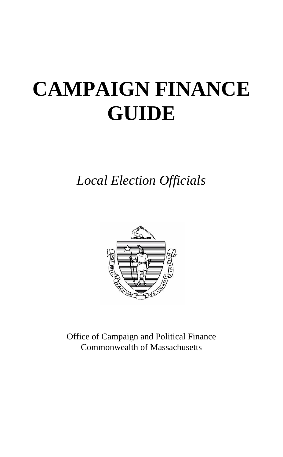# **CAMPAIGN FINANCE GUIDE**

*Local Election Officials*



Office of Campaign and Political Finance Commonwealth of Massachusetts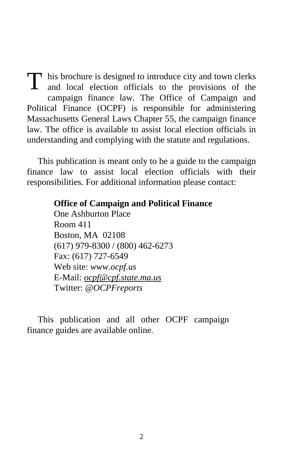his brochure is designed to introduce city and town clerks T his brochure is designed to introduce city and town clerks and local election officials to the provisions of the campaign finance law. The Office of Campaign and Political Finance (OCPF) is responsible for administering Massachusetts General Laws Chapter 55, the campaign finance law. The office is available to assist local election officials in understanding and complying with the statute and regulations.

This publication is meant only to be a guide to the campaign finance law to assist local election officials with their responsibilities. For additional information please contact:

#### **Office of Campaign and Political Finance**

One Ashburton Place Room 411 Boston, MA 02108 (617) 979-8300 / (800) 462-6273 Fax: (617) 727-6549 Web site: *www.ocpf.us* E-Mail: *[ocpf@cpf.state.ma.us](mailto:ocpf@cpf.state.ma.us)* Twitter: *@OCPFreports*

This publication and all other OCPF campaign finance guides are available online*.*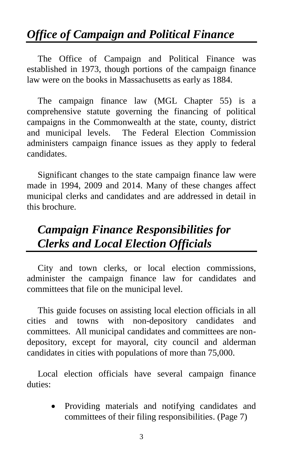# *Office of Campaign and Political Finance*

The Office of Campaign and Political Finance was established in 1973, though portions of the campaign finance law were on the books in Massachusetts as early as 1884.

The campaign finance law (MGL Chapter 55) is a comprehensive statute governing the financing of political campaigns in the Commonwealth at the state, county, district and municipal levels. The Federal Election Commission administers campaign finance issues as they apply to federal candidates.

Significant changes to the state campaign finance law were made in 1994, 2009 and 2014. Many of these changes affect municipal clerks and candidates and are addressed in detail in this brochure.

# *Campaign Finance Responsibilities for Clerks and Local Election Officials*

City and town clerks, or local election commissions, administer the campaign finance law for candidates and committees that file on the municipal level.

This guide focuses on assisting local election officials in all cities and towns with non-depository candidates and committees. All municipal candidates and committees are nondepository, except for mayoral, city council and alderman candidates in cities with populations of more than 75,000.

Local election officials have several campaign finance duties:

> Providing materials and notifying candidates and committees of their filing responsibilities. (Page 7)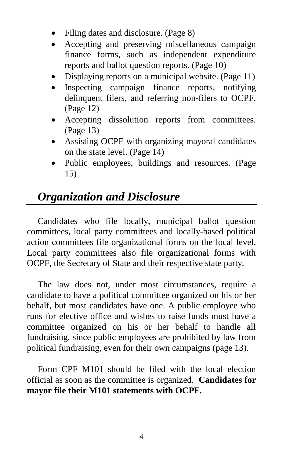- Filing dates and disclosure. (Page 8)
- Accepting and preserving miscellaneous campaign finance forms, such as independent expenditure reports and ballot question reports. (Page 10)
- Displaying reports on a municipal website. (Page 11)
- Inspecting campaign finance reports, notifying delinquent filers, and referring non-filers to OCPF. (Page 12)
- Accepting dissolution reports from committees. (Page 13)
- Assisting OCPF with organizing mayoral candidates on the state level. (Page 14)
- Public employees, buildings and resources. (Page 15)

## *Organization and Disclosure*

Candidates who file locally, municipal ballot question committees, local party committees and locally-based political action committees file organizational forms on the local level. Local party committees also file organizational forms with OCPF, the Secretary of State and their respective state party.

The law does not, under most circumstances, require a candidate to have a political committee organized on his or her behalf, but most candidates have one. A public employee who runs for elective office and wishes to raise funds must have a committee organized on his or her behalf to handle all fundraising, since public employees are prohibited by law from political fundraising, even for their own campaigns (page 13).

Form CPF M101 should be filed with the local election official as soon as the committee is organized. **Candidates for mayor file their M101 statements with OCPF.**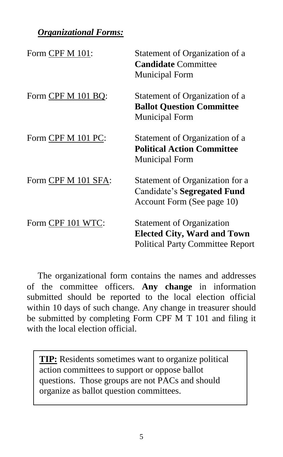#### *Organizational Forms:*

| Form CPF M 101:     | Statement of Organization of a<br><b>Candidate Committee</b><br><b>Municipal Form</b>                             |
|---------------------|-------------------------------------------------------------------------------------------------------------------|
| Form CPF M 101 BQ:  | Statement of Organization of a<br><b>Ballot Question Committee</b><br><b>Municipal Form</b>                       |
| Form CPF M 101 PC:  | Statement of Organization of a<br><b>Political Action Committee</b><br>Municipal Form                             |
| Form CPF M 101 SFA: | Statement of Organization for a<br>Candidate's Segregated Fund<br>Account Form (See page 10)                      |
| Form CPF 101 WTC:   | <b>Statement of Organization</b><br><b>Elected City, Ward and Town</b><br><b>Political Party Committee Report</b> |

The organizational form contains the names and addresses of the committee officers. **Any change** in information submitted should be reported to the local election official within 10 days of such change. Any change in treasurer should be submitted by completing Form CPF M T 101 and filing it with the local election official.

action committees to support or oppose ballot **TIP:** Residents sometimes want to organize political questions. Those groups are not PACs and should organize as ballot question committees.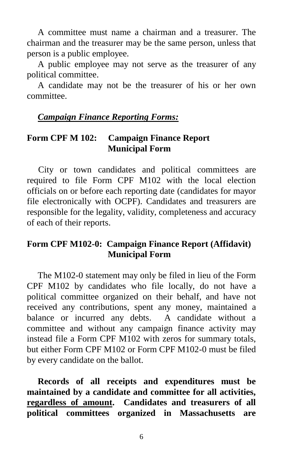A committee must name a chairman and a treasurer. The chairman and the treasurer may be the same person, unless that person is a public employee.

A public employee may not serve as the treasurer of any political committee.

A candidate may not be the treasurer of his or her own committee.

#### *[Campaign Finance Reporting Forms:](http://www.mass.gov/ocpf/forms.htm)*

#### **Form CPF M 102: Campaign Finance Report Municipal Form**

 City or town candidates and political committees are required to file Form CPF M102 with the local election officials on or before each reporting date (candidates for mayor file electronically with OCPF). Candidates and treasurers are responsible for the legality, validity, completeness and accuracy of each of their reports.

#### **Form CPF M102-0: Campaign Finance Report (Affidavit) Municipal Form**

The M102-0 statement may only be filed in lieu of the Form CPF M102 by candidates who file locally, do not have a political committee organized on their behalf, and have not received any contributions, spent any money, maintained a balance or incurred any debts. A candidate without a committee and without any campaign finance activity may instead file a Form CPF M102 with zeros for summary totals, but either Form CPF M102 or Form CPF M102-0 must be filed by every candidate on the ballot.

**Records of all receipts and expenditures must be maintained by a candidate and committee for all activities, regardless of amount. Candidates and treasurers of all political committees organized in Massachusetts are**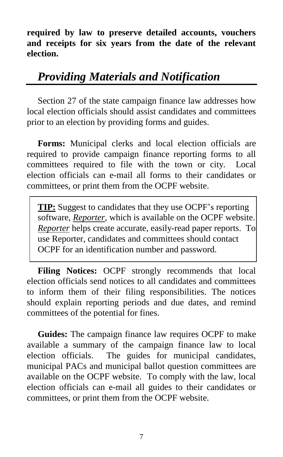**required by law to preserve detailed accounts, vouchers and receipts for six years from the date of the relevant election.**

## *Providing Materials and Notification*

Section 27 of the state campaign finance law addresses how local election officials should assist candidates and committees prior to an election by providing forms and guides.

**Forms:** Municipal clerks and local election officials are required to provide campaign finance reporting forms to all committees required to file with the town or city. Local election officials can e-mail all forms to their candidates or committees, or print them from the OCPF website.

**TIP:** Suggest to candidates that they use OCPF's reporting software, *[Reporter](http://www.mass.gov/ocpf/reporter5.htm)*, which is available on the OCPF website. *Reporter* helps create accurate, easily-read paper reports. To use Reporter, candidates and committees should contact OCPF for an identification number and password.

**Filing Notices:** OCPF strongly recommends that local election officials send notices to all candidates and committees to inform them of their filing responsibilities. The notices should explain reporting periods and due dates, and remind committees of the potential for fines.

**Guides:** The campaign finance law requires OCPF to make available a summary of the campaign finance law to local election officials. The guides for municipal candidates, municipal PACs and municipal ballot question committees are available on the OCPF website. To comply with the law, local election officials can e-mail all guides to their candidates or committees, or print them from the OCPF website.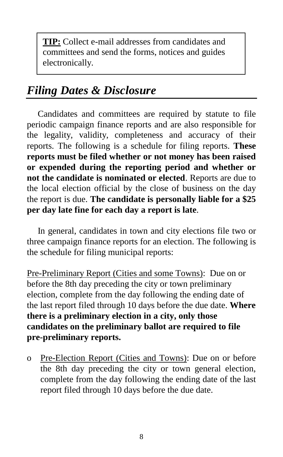**TIP:** Collect e-mail addresses from candidates and committees and send the forms, notices and guides electronically.

## *Filing Dates & Disclosure*

Candidates and committees are required by statute to file periodic campaign finance reports and are also responsible for the legality, validity, completeness and accuracy of their reports. The following is a schedule for filing reports. **These reports must be filed whether or not money has been raised or expended during the reporting period and whether or not the candidate is nominated or elected**. Reports are due to the local election official by the close of business on the day the report is due. **The candidate is personally liable for a \$25 per day late fine for each day a report is late**.

In general, candidates in town and city elections file two or three campaign finance reports for an election. The following is the schedule for filing municipal reports:

Pre-Preliminary Report (Cities and some Towns): Due on or before the 8th day preceding the city or town preliminary election, complete from the day following the ending date of the last report filed through 10 days before the due date. **Where there is a preliminary election in a city, only those candidates on the preliminary ballot are required to file pre-preliminary reports.**

o Pre-Election Report (Cities and Towns): Due on or before the 8th day preceding the city or town general election, complete from the day following the ending date of the last report filed through 10 days before the due date.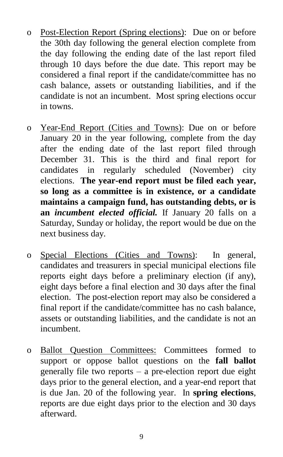- o Post-Election Report (Spring elections): Due on or before the 30th day following the general election complete from the day following the ending date of the last report filed through 10 days before the due date. This report may be considered a final report if the candidate/committee has no cash balance, assets or outstanding liabilities, and if the candidate is not an incumbent. Most spring elections occur in towns.
- o Year-End Report (Cities and Towns): Due on or before January 20 in the year following, complete from the day after the ending date of the last report filed through December 31. This is the third and final report for candidates in regularly scheduled (November) city elections. **The year-end report must be filed each year, so long as a committee is in existence, or a candidate maintains a campaign fund, has outstanding debts, or is an** *incumbent elected official.* If January 20 falls on a Saturday, Sunday or holiday, the report would be due on the next business day.
- o Special Elections (Cities and Towns): In general, candidates and treasurers in special municipal elections file reports eight days before a preliminary election (if any), eight days before a final election and 30 days after the final election. The post-election report may also be considered a final report if the candidate/committee has no cash balance, assets or outstanding liabilities, and the candidate is not an incumbent.
- o Ballot Question Committees: Committees formed to support or oppose ballot questions on the **fall ballot** generally file two reports – a pre-election report due eight days prior to the general election, and a year-end report that is due Jan. 20 of the following year. In **spring elections**, reports are due eight days prior to the election and 30 days afterward.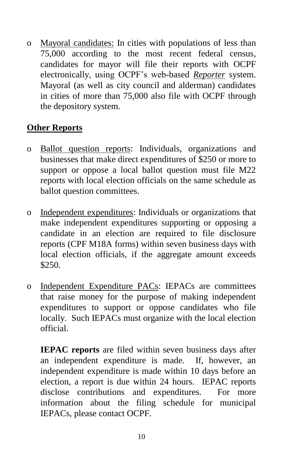o Mayoral candidates: In cities with populations of less than 75,000 according to the most recent federal census, candidates for mayor will file their reports with OCPF electronically, using OCPF's web-based *Reporter* system. Mayoral (as well as city council and alderman) candidates in cities of more than 75,000 also file with OCPF through the depository system.

#### **Other Reports**

- o Ballot question reports: Individuals, organizations and businesses that make direct expenditures of \$250 or more to support or oppose a local ballot question must file M22 reports with local election officials on the same schedule as ballot question committees.
- o Independent expenditures: Individuals or organizations that make independent expenditures supporting or opposing a candidate in an election are required to file disclosure reports (CPF M18A forms) within seven business days with local election officials, if the aggregate amount exceeds \$250.
- o Independent Expenditure PACs: IEPACs are committees that raise money for the purpose of making independent expenditures to support or oppose candidates who file locally. Such IEPACs must organize with the local election official.

**IEPAC reports** are filed within seven business days after an independent expenditure is made. If, however, an independent expenditure is made within 10 days before an election, a report is due within 24 hours. IEPAC reports disclose contributions and expenditures. For more information about the filing schedule for municipal IEPACs, please contact OCPF.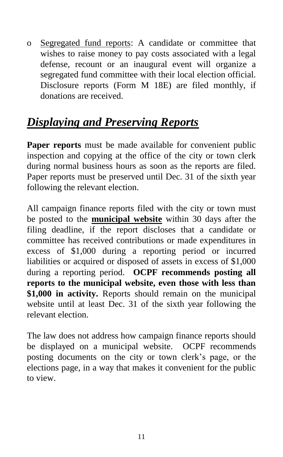o Segregated fund reports: A candidate or committee that wishes to raise money to pay costs associated with a legal defense, recount or an inaugural event will organize a segregated fund committee with their local election official. Disclosure reports (Form M 18E) are filed monthly, if donations are received.

# *[Displaying and Preserving Reports](http://www.ocpf.net/legaldoc/M-09-01-2011.pdf)*

**Paper reports** must be made available for convenient public inspection and copying at the office of the city or town clerk during normal business hours as soon as the reports are filed. Paper reports must be preserved until Dec. 31 of the sixth year following the relevant election.

All campaign finance reports filed with the city or town must be posted to the **municipal website** within 30 days after the filing deadline, if the report discloses that a candidate or committee has received contributions or made expenditures in excess of \$1,000 during a reporting period or incurred liabilities or acquired or disposed of assets in excess of \$1,000 during a reporting period. **OCPF recommends posting all reports to the municipal website, even those with less than \$1,000 in activity.** Reports should remain on the municipal website until at least Dec. 31 of the sixth year following the relevant election.

The law does not address how campaign finance reports should be displayed on a municipal website. OCPF recommends posting documents on the city or town clerk's page, or the elections page, in a way that makes it convenient for the public to view.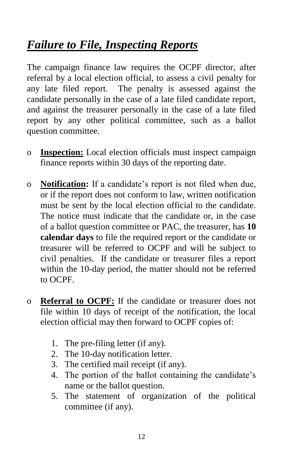# *Failure to File, Inspecting Reports*

The campaign finance law requires the OCPF director, after referral by a local election official, to assess a civil penalty for any late filed report. The penalty is assessed against the candidate personally in the case of a late filed candidate report, and against the treasurer personally in the case of a late filed report by any other political committee, such as a ballot question committee.

- o **Inspection:** Local election officials must inspect campaign finance reports within 30 days of the reporting date.
- o **Notification:** If a candidate's report is not filed when due, or if the report does not conform to law, written notification must be sent by the local election official to the candidate. The notice must indicate that the candidate or, in the case of a ballot question committee or PAC, the treasurer, has **10 calendar days** to file the required report or the candidate or treasurer will be referred to OCPF and will be subject to civil penalties. If the candidate or treasurer files a report within the 10-day period, the matter should not be referred to OCPF.
- o **[Referral to OCPF:](http://www.ocpf.net/legaldoc/M-94-07-2011.pdf)** If the candidate or treasurer does not file within 10 days of receipt of the notification, the local election official may then forward to OCPF copies of:
	- 1. The pre-filing letter (if any).
	- 2. The 10-day notification letter.
	- 3. The certified mail receipt (if any).
	- 4. The portion of the ballot containing the candidate's name or the ballot question.
	- 5. The statement of organization of the political committee (if any).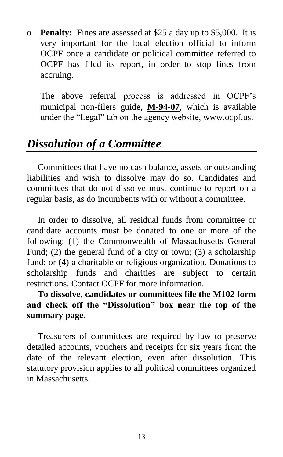o **Penalty:** Fines are assessed at \$25 a day up to \$5,000. It is very important for the local election official to inform OCPF once a candidate or political committee referred to OCPF has filed its report, in order to stop fines from accruing.

The above referral process is addressed in OCPF's municipal non-filers guide, **[M-94-07](http://www.ocpf.net/legaldoc/M-94-07-2011.pdf)**, which is available under the "Legal" tab on the agency website, www.ocpf.us.

## *Dissolution of a Committee*

Committees that have no cash balance, assets or outstanding liabilities and wish to dissolve may do so. Candidates and committees that do not dissolve must continue to report on a regular basis, as do incumbents with or without a committee.

In order to dissolve, all residual funds from committee or candidate accounts must be donated to one or more of the following: (1) the Commonwealth of Massachusetts General Fund; (2) the general fund of a city or town; (3) a scholarship fund; or (4) a charitable or religious organization. Donations to scholarship funds and charities are subject to certain restrictions. Contact OCPF for more information.

**To dissolve, candidates or committees file the M102 form and check off the "Dissolution" box near the top of the summary page.** 

Treasurers of committees are required by law to preserve detailed accounts, vouchers and receipts for six years from the date of the relevant election, even after dissolution. This statutory provision applies to all political committees organized in Massachusetts.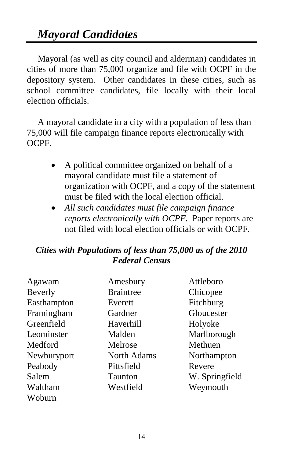Mayoral (as well as city council and alderman) candidates in cities of more than 75,000 organize and file with OCPF in the depository system.Other candidates in these cities, such as school committee candidates, file locally with their local election officials.

A mayoral candidate in a city with a population of less than 75,000 will file campaign finance reports electronically with OCPF.

- A political committee organized on behalf of a mayoral candidate must file a statement of organization with OCPF, and a copy of the statement must be filed with the local election official.
- *All such candidates must file campaign finance reports electronically with OCPF.* Paper reports are not filed with local election officials or with OCPF.

#### *Cities with Populations of less than 75,000 as of the 2010 Federal Census*

| Agawam      | Amesbury         | Attleboro      |
|-------------|------------------|----------------|
| Beverly     | <b>Braintree</b> | Chicopee       |
| Easthampton | Everett          | Fitchburg      |
| Framingham  | Gardner          | Gloucester     |
| Greenfield  | Haverhill        | Holyoke        |
| Leominster  | Malden           | Marlborough    |
| Medford     | Melrose          | Methuen        |
| Newburyport | North Adams      | Northampton    |
| Peabody     | Pittsfield       | Revere         |
| Salem       | <b>Taunton</b>   | W. Springfield |
| Waltham     | Westfield        | Weymouth       |
| Woburn      |                  |                |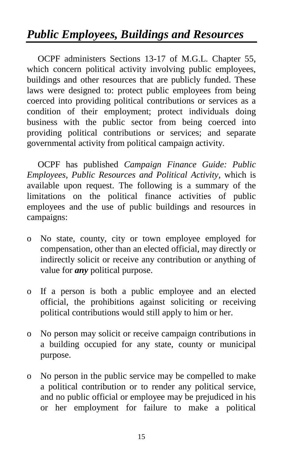# *Public Employees, Buildings and Resources*

OCPF administers Sections 13-17 of M.G.L. Chapter 55, which concern political activity involving public employees, buildings and other resources that are publicly funded. These laws were designed to: protect public employees from being coerced into providing political contributions or services as a condition of their employment; protect individuals doing business with the public sector from being coerced into providing political contributions or services; and separate governmental activity from political campaign activity.

OCPF has published *Campaign Finance Guide: Public Employees, Public Resources and Political Activity*, which is available upon request. The following is a summary of the limitations on the political finance activities of public employees and the use of public buildings and resources in campaigns:

- o No state, county, city or town employee employed for compensation, other than an elected official, may directly or indirectly solicit or receive any contribution or anything of value for *any* political purpose.
- o If a person is both a public employee and an elected official, the prohibitions against soliciting or receiving political contributions would still apply to him or her.
- o No person may solicit or receive campaign contributions in a building occupied for any state, county or municipal purpose.
- o No person in the public service may be compelled to make a political contribution or to render any political service, and no public official or employee may be prejudiced in his or her employment for failure to make a political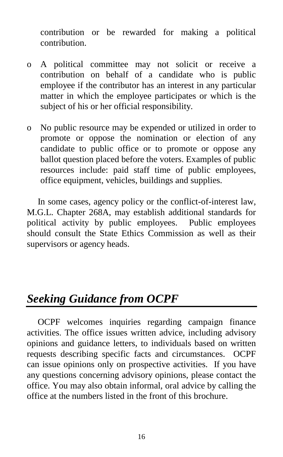contribution or be rewarded for making a political contribution.

- o A political committee may not solicit or receive a contribution on behalf of a candidate who is public employee if the contributor has an interest in any particular matter in which the employee participates or which is the subject of his or her official responsibility.
- o No public resource may be expended or utilized in order to promote or oppose the nomination or election of any candidate to public office or to promote or oppose any ballot question placed before the voters. Examples of public resources include: paid staff time of public employees, office equipment, vehicles, buildings and supplies.

In some cases, agency policy or the conflict-of-interest law, M.G.L. Chapter 268A, may establish additional standards for political activity by public employees. Public employees should consult the State Ethics Commission as well as their supervisors or agency heads.

## *Seeking Guidance from OCPF*

OCPF welcomes inquiries regarding campaign finance activities. The office issues written advice, including advisory opinions and guidance letters, to individuals based on written requests describing specific facts and circumstances. OCPF can issue opinions only on prospective activities. If you have any questions concerning advisory opinions, please contact the office. You may also obtain informal, oral advice by calling the office at the numbers listed in the front of this brochure.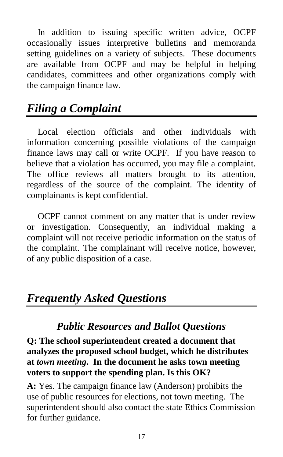In addition to issuing specific written advice, OCPF occasionally issues interpretive bulletins and memoranda setting guidelines on a variety of subjects. These documents are available from OCPF and may be helpful in helping candidates, committees and other organizations comply with the campaign finance law.

# *Filing a Complaint*

Local election officials and other individuals with information concerning possible violations of the campaign finance laws may call or write OCPF. If you have reason to believe that a violation has occurred, you may file a complaint. The office reviews all matters brought to its attention, regardless of the source of the complaint. The identity of complainants is kept confidential.

OCPF cannot comment on any matter that is under review or investigation. Consequently, an individual making a complaint will not receive periodic information on the status of the complaint. The complainant will receive notice, however, of any public disposition of a case.

# *Frequently Asked Questions*

## *Public Resources and Ballot Questions*

#### **Q: The school superintendent created a document that analyzes the proposed school budget, which he distributes at** *town meeting***. In the document he asks town meeting voters to support the spending plan. Is this OK?**

**A:** Yes. The campaign finance law (Anderson) prohibits the use of public resources for elections, not town meeting. The superintendent should also contact the state Ethics Commission for further guidance.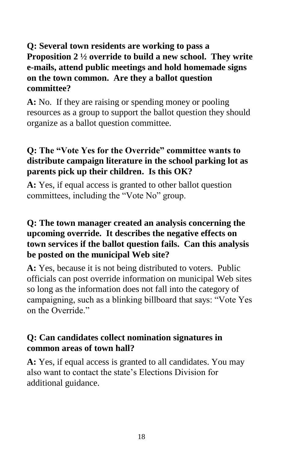#### **Q: Several town residents are working to pass a Proposition 2 ½ override to build a new school. They write e-mails, attend public meetings and hold homemade signs on the town common. Are they a ballot question committee?**

**A:** No. If they are raising or spending money or pooling resources as a group to support the ballot question they should organize as a ballot question committee.

#### **Q: The "Vote Yes for the Override" committee wants to distribute campaign literature in the school parking lot as parents pick up their children. Is this OK?**

**A:** Yes, if equal access is granted to other ballot question committees, including the "Vote No" group.

#### **Q: The town manager created an analysis concerning the upcoming override. It describes the negative effects on town services if the ballot question fails. Can this analysis be posted on the municipal Web site?**

**A:** Yes, because it is not being distributed to voters. Public officials can post override information on municipal Web sites so long as the information does not fall into the category of campaigning, such as a blinking billboard that says: "Vote Yes on the Override."

#### **Q: Can candidates collect nomination signatures in common areas of town hall?**

**A:** Yes, if equal access is granted to all candidates. You may also want to contact the state's Elections Division for additional guidance.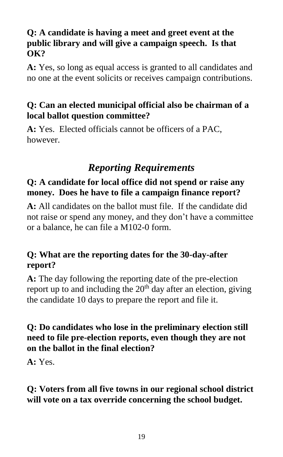#### **Q: A candidate is having a meet and greet event at the public library and will give a campaign speech. Is that OK?**

**A:** Yes, so long as equal access is granted to all candidates and no one at the event solicits or receives campaign contributions.

#### **Q: Can an elected municipal official also be chairman of a local ballot question committee?**

**A:** Yes. Elected officials cannot be officers of a PAC, however.

## *Reporting Requirements*

#### **Q: A candidate for local office did not spend or raise any money. Does he have to file a campaign finance report?**

**A:** All candidates on the ballot must file. If the candidate did not raise or spend any money, and they don't have a committee or a balance, he can file a M102-0 form.

#### **Q: What are the reporting dates for the 30-day-after report?**

**A:** The day following the reporting date of the pre-election report up to and including the  $20<sup>th</sup>$  day after an election, giving the candidate 10 days to prepare the report and file it.

#### **Q: Do candidates who lose in the preliminary election still need to file pre-election reports, even though they are not on the ballot in the final election?**

**A:** Yes.

#### **Q: Voters from all five towns in our regional school district will vote on a tax override concerning the school budget.**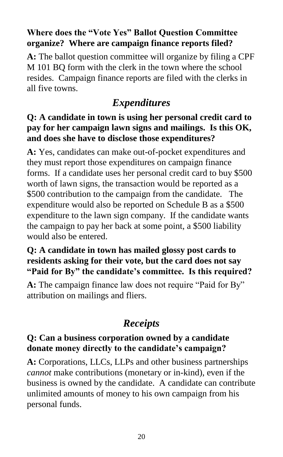#### **Where does the "Vote Yes" Ballot Question Committee organize? Where are campaign finance reports filed?**

**A:** The ballot question committee will organize by filing a CPF M 101 BQ form with the clerk in the town where the school resides. Campaign finance reports are filed with the clerks in all five towns.

## *Expenditures*

#### **Q: A candidate in town is using her personal credit card to pay for her campaign lawn signs and mailings. Is this OK, and does she have to disclose those expenditures?**

**A:** Yes, candidates can make out-of-pocket expenditures and they must report those expenditures on campaign finance forms. If a candidate uses her personal credit card to buy \$500 worth of lawn signs, the transaction would be reported as a \$500 contribution to the campaign from the candidate. The expenditure would also be reported on Schedule B as a \$500 expenditure to the lawn sign company. If the candidate wants the campaign to pay her back at some point, a \$500 liability would also be entered.

#### **Q: A candidate in town has mailed glossy post cards to residents asking for their vote, but the card does not say "Paid for By" the candidate's committee. Is this required?**

**A:** The campaign finance law does not require "Paid for By" attribution on mailings and fliers.

## *Receipts*

#### **Q: Can a business corporation owned by a candidate donate money directly to the candidate's campaign?**

**A:** Corporations, LLCs, LLPs and other business partnerships *cannot* make contributions (monetary or in-kind), even if the business is owned by the candidate. A candidate can contribute unlimited amounts of money to his own campaign from his personal funds.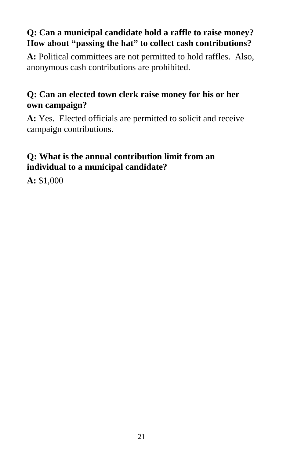#### **Q: Can a municipal candidate hold a raffle to raise money? How about "passing the hat" to collect cash contributions?**

**A:** Political committees are not permitted to hold raffles. Also, anonymous cash contributions are prohibited.

#### **Q: Can an elected town clerk raise money for his or her own campaign?**

**A:** Yes. Elected officials are permitted to solicit and receive campaign contributions.

#### **Q: What is the annual contribution limit from an individual to a municipal candidate?**

**A:** \$1,000